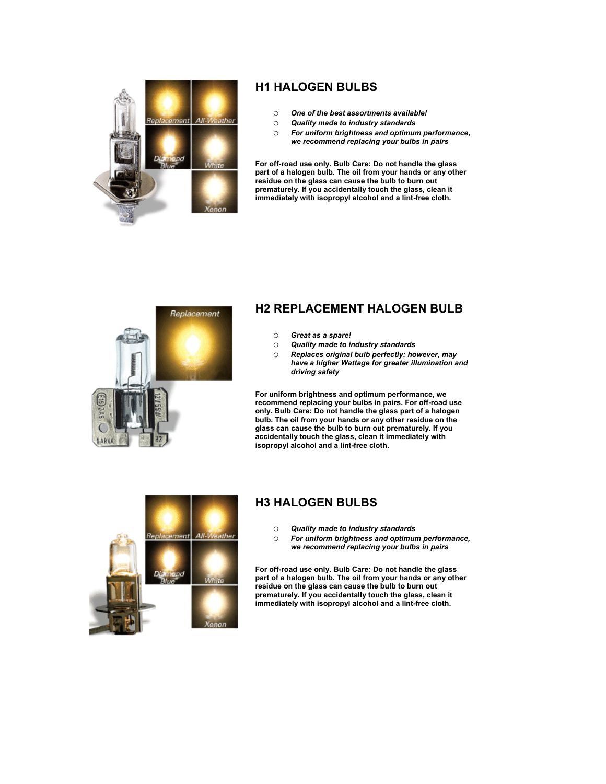

## **H1 HALOGEN BULBS**

- o *One of the best assortments available!*
- o *Quality made to industry standards*
- o *For uniform brightness and optimum performance, we recommend replacing your bulbs in pairs*

**For off-road use only. Bulb Care: Do not handle the glass part of a halogen bulb. The oil from your hands or any other residue on the glass can cause the bulb to burn out prematurely. If you accidentally touch the glass, clean it immediately with isopropyl alcohol and a lint-free cloth.**



# **H2 REPLACEMENT HALOGEN BULB**

- o *Great as a spare!*
- o *Quality made to industry standards*
- o *Replaces original bulb perfectly; however, may have a higher Wattage for greater illumination and driving safety*

**For uniform brightness and optimum performance, we recommend replacing your bulbs in pairs. For off-road use only. Bulb Care: Do not handle the glass part of a halogen bulb. The oil from your hands or any other residue on the glass can cause the bulb to burn out prematurely. If you accidentally touch the glass, clean it immediately with isopropyl alcohol and a lint-free cloth.**



# **H3 HALOGEN BULBS**

- o *Quality made to industry standards*
- o *For uniform brightness and optimum performance, we recommend replacing your bulbs in pairs*

**For off-road use only. Bulb Care: Do not handle the glass part of a halogen bulb. The oil from your hands or any other residue on the glass can cause the bulb to burn out prematurely. If you accidentally touch the glass, clean it immediately with isopropyl alcohol and a lint-free cloth.**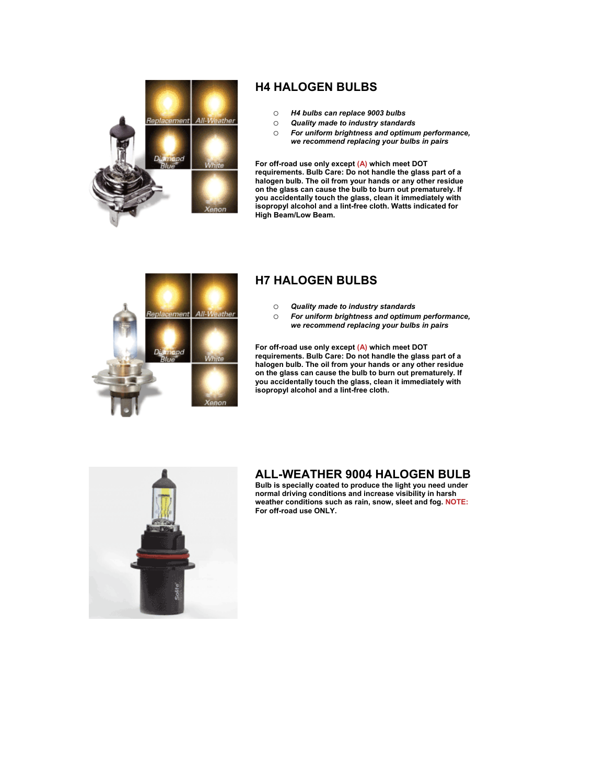

# **H4 HALOGEN BULBS**

- o *H4 bulbs can replace 9003 bulbs*
- o *Quality made to industry standards*
- o *For uniform brightness and optimum performance, we recommend replacing your bulbs in pairs*

**For off-road use only except (A) which meet DOT requirements. Bulb Care: Do not handle the glass part of a halogen bulb. The oil from your hands or any other residue on the glass can cause the bulb to burn out prematurely. If you accidentally touch the glass, clean it immediately with isopropyl alcohol and a lint-free cloth. Watts indicated for High Beam/Low Beam.**



## **H7 HALOGEN BULBS**

- 
- o *Quality made to industry standards* For uniform brightness and optimum performance, *we recommend replacing your bulbs in pairs*

**For off-road use only except (A) which meet DOT requirements. Bulb Care: Do not handle the glass part of a halogen bulb. The oil from your hands or any other residue on the glass can cause the bulb to burn out prematurely. If you accidentally touch the glass, clean it immediately with isopropyl alcohol and a lint-free cloth.**



#### **ALL-WEATHER 9004 HALOGEN BULB**

**Bulb is specially coated to produce the light you need under normal driving conditions and increase visibility in harsh weather conditions such as rain, snow, sleet and fog. NOTE: For off-road use ONLY.**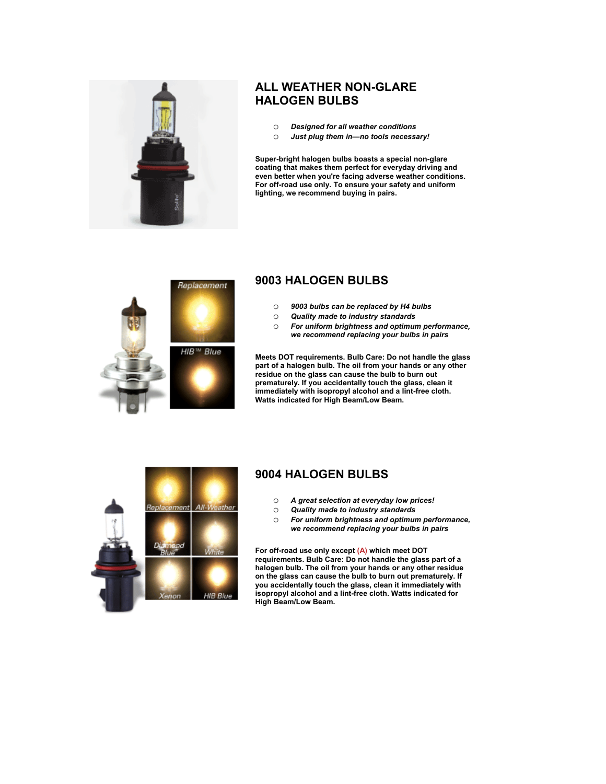

## **ALL WEATHER NON-GLARE HALOGEN BULBS**

- o *Designed for all weather conditions*
- o *Just plug them in—no tools necessary!*

**Super-bright halogen bulbs boasts a special non-glare coating that makes them perfect for everyday driving and even better when you're facing adverse weather conditions. For off-road use only. To ensure your safety and uniform lighting, we recommend buying in pairs.**



#### **9003 HALOGEN BULBS**

- o *9003 bulbs can be replaced by H4 bulbs*
- o *Quality made to industry standards*
- For uniform brightness and optimum performance, *we recommend replacing your bulbs in pairs*

**Meets DOT requirements. Bulb Care: Do not handle the glass part of a halogen bulb. The oil from your hands or any other residue on the glass can cause the bulb to burn out prematurely. If you accidentally touch the glass, clean it immediately with isopropyl alcohol and a lint-free cloth. Watts indicated for High Beam/Low Beam.**



#### **9004 HALOGEN BULBS**

- o *A great selection at everyday low prices!*
- o *Quality made to industry standards*
- o *For uniform brightness and optimum performance, we recommend replacing your bulbs in pairs*

**For off-road use only except (A) which meet DOT requirements. Bulb Care: Do not handle the glass part of a halogen bulb. The oil from your hands or any other residue on the glass can cause the bulb to burn out prematurely. If you accidentally touch the glass, clean it immediately with isopropyl alcohol and a lint-free cloth. Watts indicated for High Beam/Low Beam.**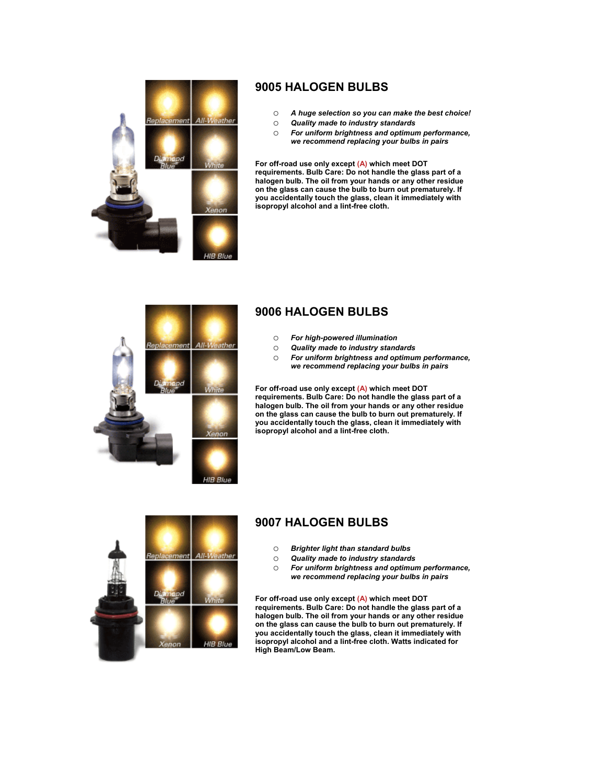

## **9005 HALOGEN BULBS**

- o *A huge selection so you can make the best choice!*
- o *Quality made to industry standards*
- o *For uniform brightness and optimum performance, we recommend replacing your bulbs in pairs*

**For off-road use only except (A) which meet DOT requirements. Bulb Care: Do not handle the glass part of a halogen bulb. The oil from your hands or any other residue on the glass can cause the bulb to burn out prematurely. If ou accidentally touch the glass, clean it immediately with y sopropyl alcohol and a lint-free cloth. i**



# **9006 HALOGEN BULBS**

- o *For high-powered illumination*
- o *Quality made to industry standards*
- For uniform brightness and optimum performance, *we recommend replacing your bulbs in pairs*

**For off-road use only except (A) which meet DOT requirements. Bulb Care: Do not handle the glass part of a halogen bulb. The oil from your hands or any other residue on the glass can cause the bulb to burn out prematurely. If ou accidentally touch the glass, clean it immediately with y sopropyl alcohol and a lint-free cloth. i**



# **9007 HALOGEN BULBS**

- o *Brighter light than standard bulbs*
- o *Quality made to industry standards*
- o *For uniform brightness and optimum performance, we recommend replacing your bulbs in pairs*

**For off-road use only except (A) which meet DOT requirements. Bulb Care: Do not handle the glass part of a halogen bulb. The oil from your hands or any other residue on the glass can cause the bulb to burn out prematurely. If you accidentally touch the glass, clean it immediately with isopropyl alcohol and a lint-free cloth. Watts indicated for High Beam/Low Beam.**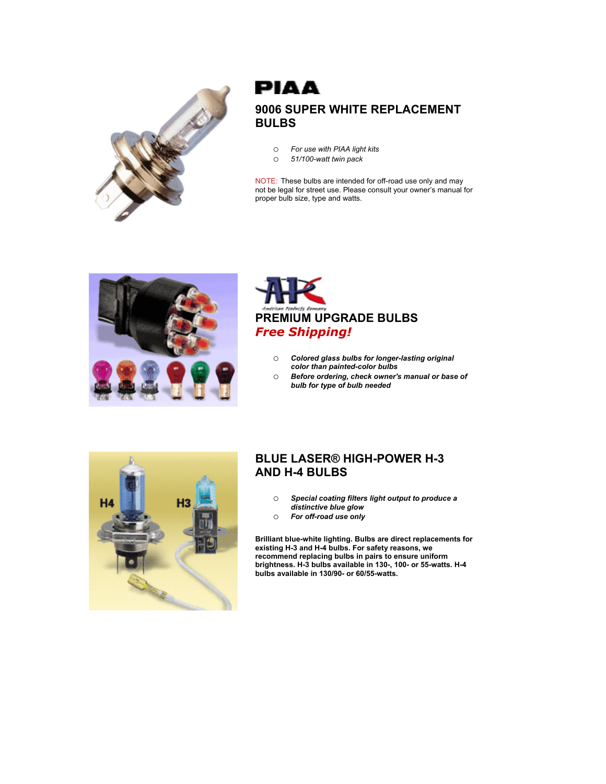

# **PIAA 9006 SUPER WHITE REPLACEMENT BULBS**

- o *For use with PIAA light kits*
- o *51/100-watt twin pack*

NOTE: These bulbs are intended for off-road use only and may not be legal for street use. Please consult your owner's manual for proper bulb size, type and watts.





- o *Colored glass bulbs for longer-lasting original color than painted-color bulbs*
- o *Before ordering, check owner's manual or base of bulb for type of bulb needed*



#### **BLUE LASER® HIGH-POWER H-3 AND H-4 BULBS**

- o *Special coating filters light output to produce a distinctive blue glow*
- o *For off-road use only*

**Brilliant blue-white lighting. Bulbs are direct replacements for existing H-3 and H-4 bulbs. For safety reasons, we recommend replacing bulbs in pairs to ensure uniform brightness. H-3 bulbs available in 130-, 100- or 55-watts. H-4 bulbs available in 130/90- or 60/55-watts.**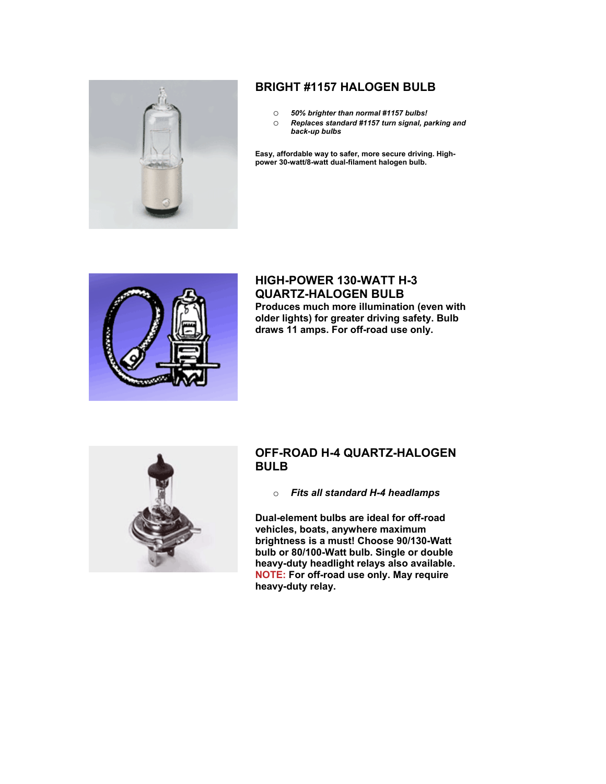

# **BRIGHT #1157 HALOGEN BULB**

- o *50% brighter than normal #1157 bulbs!*
- o *Replaces standard #1157 turn signal, parking and back-up bulbs*

**Easy, affordable way to safer, more secure driving. Highpower 30-watt/8-watt dual-filament halogen bulb.** 



#### **HIGH-POWER 130-WATT H-3 QUARTZ-HALOGEN BULB Produces much more illumination (even with older lights) for greater driving safety. Bulb draws 11 amps. For off-road use only.**



#### **OFF-ROAD H-4 QUARTZ-HALOGEN BULB**

o *Fits all standard H-4 headlamps* 

**Dual-element bulbs are ideal for off-road vehicles, boats, anywhere maximum brightness is a must! Choose 90/130-Watt bulb or 80/100-Watt bulb. Single or double heavy-duty headlight relays also available. NOTE: For off-road use only. May require heavy-duty relay.**